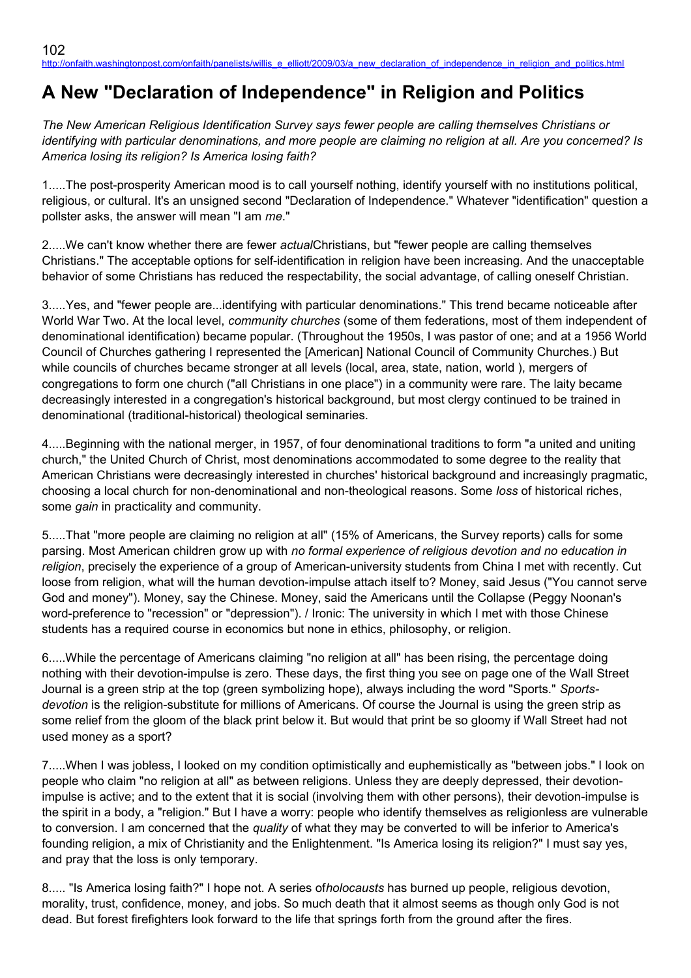# **A New "Declaration of Independence" in Religion and Politics**

*The New American Religious Identification Survey says fewer people are calling themselves Christians or identifying with particular denominations, and more people are claiming no religion at all. Are you concerned? Is America losing its religion? Is America losing faith?*

1.....The post-prosperity American mood is to call yourself nothing, identify yourself with no institutions political, religious, or cultural. It's an unsigned second "Declaration of Independence." Whatever "identification" question a pollster asks, the answer will mean "I am *me*."

2.....We can't know whether there are fewer *actual*Christians, but "fewer people are calling themselves Christians." The acceptable options for self-identification in religion have been increasing. And the unacceptable behavior of some Christians has reduced the respectability, the social advantage, of calling oneself Christian.

3.....Yes, and "fewer people are...identifying with particular denominations." This trend became noticeable after World War Two. At the local level, *community churches* (some of them federations, most of them independent of denominational identification) became popular. (Throughout the 1950s, I was pastor of one; and at a 1956 World Council of Churches gathering I represented the [American] National Council of Community Churches.) But while councils of churches became stronger at all levels (local, area, state, nation, world), mergers of congregations to form one church ("all Christians in one place") in a community were rare. The laity became decreasingly interested in a congregation's historical background, but most clergy continued to be trained in denominational (traditional-historical) theological seminaries.

4.....Beginning with the national merger, in 1957, of four denominational traditions to form "a united and uniting church," the United Church of Christ, most denominations accommodated to some degree to the reality that American Christians were decreasingly interested in churches' historical background and increasingly pragmatic, choosing a local church for non-denominational and non-theological reasons. Some *loss* of historical riches, some *gain* in practicality and community.

5.....That "more people are claiming no religion at all" (15% of Americans, the Survey reports) calls for some parsing. Most American children grow up with *no formal experience of religious devotion and no education in religion*, precisely the experience of a group of American-university students from China I met with recently. Cut loose from religion, what will the human devotion-impulse attach itself to? Money, said Jesus ("You cannot serve God and money"). Money, say the Chinese. Money, said the Americans until the Collapse (Peggy Noonan's word-preference to "recession" or "depression"). / Ironic: The university in which I met with those Chinese students has a required course in economics but none in ethics, philosophy, or religion.

6.....While the percentage of Americans claiming "no religion at all" has been rising, the percentage doing nothing with their devotion-impulse is zero. These days, the first thing you see on page one of the Wall Street Journal is a green strip at the top (green symbolizing hope), always including the word "Sports." *Sportsdevotion* is the religion-substitute for millions of Americans. Of course the Journal is using the green strip as some relief from the gloom of the black print below it. But would that print be so gloomy if Wall Street had not used money as a sport?

7.....When I was jobless, I looked on my condition optimistically and euphemistically as "between jobs." I look on people who claim "no religion at all" as between religions. Unless they are deeply depressed, their devotionimpulse is active; and to the extent that it is social (involving them with other persons), their devotion-impulse is the spirit in a body, a "religion." But I have a worry: people who identify themselves as religionless are vulnerable to conversion. I am concerned that the *quality* of what they may be converted to will be inferior to America's founding religion, a mix of Christianity and the Enlightenment. "Is America losing its religion?" I must say yes, and pray that the loss is only temporary.

8..... "Is America losing faith?" I hope not. A series of*holocausts* has burned up people, religious devotion, morality, trust, confidence, money, and jobs. So much death that it almost seems as though only God is not dead. But forest firefighters look forward to the life that springs forth from the ground after the fires.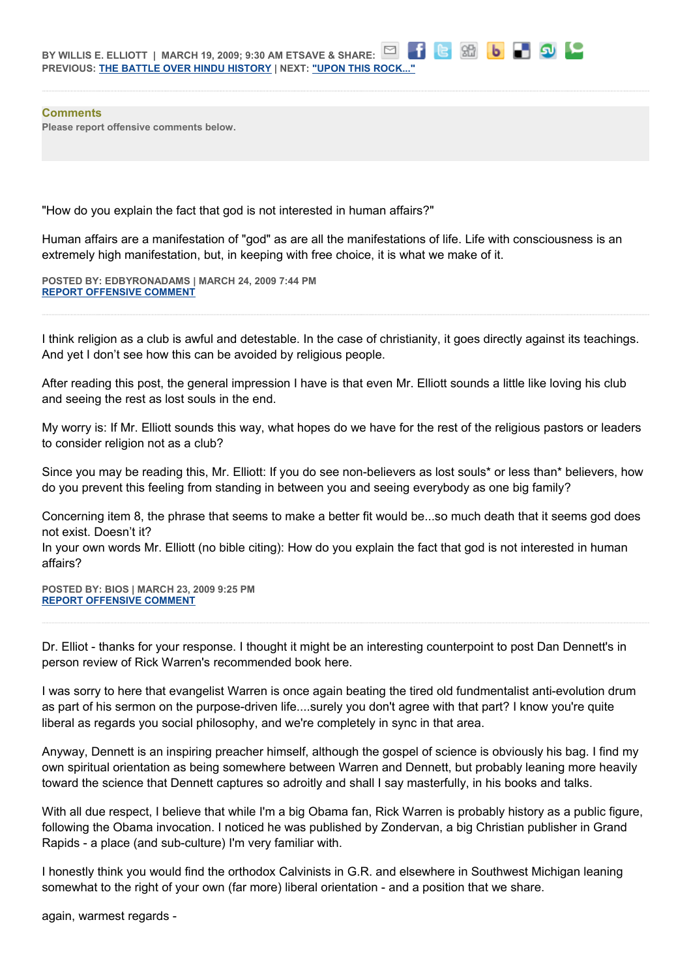**Comments Please report offensive comments below.**

"How do you explain the fact that god is not interested in human affairs?"

Human affairs are a manifestation of "god" as are all the manifestations of life. Life with consciousness is an extremely high manifestation, but, in keeping with free choice, it is what we make of it.

88 6 7 9 1 2

**POSTED BY: EDBYRONADAMS | MARCH 24, 2009 7:44 PM [REPORT OFFENSIVE COMMENT](mailto:blogs@washingtonpost.com?subject=On%20Faith%20Panelists%20Blog%20%20%7C%20%20edbyronadams%20%20%7C%20%20A%20New)**

I think religion as a club is awful and detestable. In the case of christianity, it goes directly against its teachings. And yet I don't see how this can be avoided by religious people.

After reading this post, the general impression I have is that even Mr. Elliott sounds a little like loving his club and seeing the rest as lost souls in the end.

My worry is: If Mr. Elliott sounds this way, what hopes do we have for the rest of the religious pastors or leaders to consider religion not as a club?

Since you may be reading this, Mr. Elliott: If you do see non-believers as lost souls\* or less than\* believers, how do you prevent this feeling from standing in between you and seeing everybody as one big family?

Concerning item 8, the phrase that seems to make a better fit would be...so much death that it seems god does not exist. Doesn't it?

In your own words Mr. Elliott (no bible citing): How do you explain the fact that god is not interested in human affairs?

**POSTED BY: BIOS | MARCH 23, 2009 9:25 PM [REPORT OFFENSIVE COMMENT](mailto:blogs@washingtonpost.com?subject=On%20Faith%20Panelists%20Blog%20%20%7C%20%20Bios%20%20%7C%20%20A%20New)**

Dr. Elliot - thanks for your response. I thought it might be an interesting counterpoint to post Dan Dennett's in person review of Rick Warren's recommended book here.

I was sorry to here that evangelist Warren is once again beating the tired old fundmentalist anti-evolution drum as part of his sermon on the purpose-driven life....surely you don't agree with that part? I know you're quite liberal as regards you social philosophy, and we're completely in sync in that area.

Anyway, Dennett is an inspiring preacher himself, although the gospel of science is obviously his bag. I find my own spiritual orientation as being somewhere between Warren and Dennett, but probably leaning more heavily toward the science that Dennett captures so adroitly and shall I say masterfully, in his books and talks.

With all due respect, I believe that while I'm a big Obama fan, Rick Warren is probably history as a public figure, following the Obama invocation. I noticed he was published by Zondervan, a big Christian publisher in Grand Rapids - a place (and sub-culture) I'm very familiar with.

I honestly think you would find the orthodox Calvinists in G.R. and elsewhere in Southwest Michigan leaning somewhat to the right of your own (far more) liberal orientation - and a position that we share.

again, warmest regards -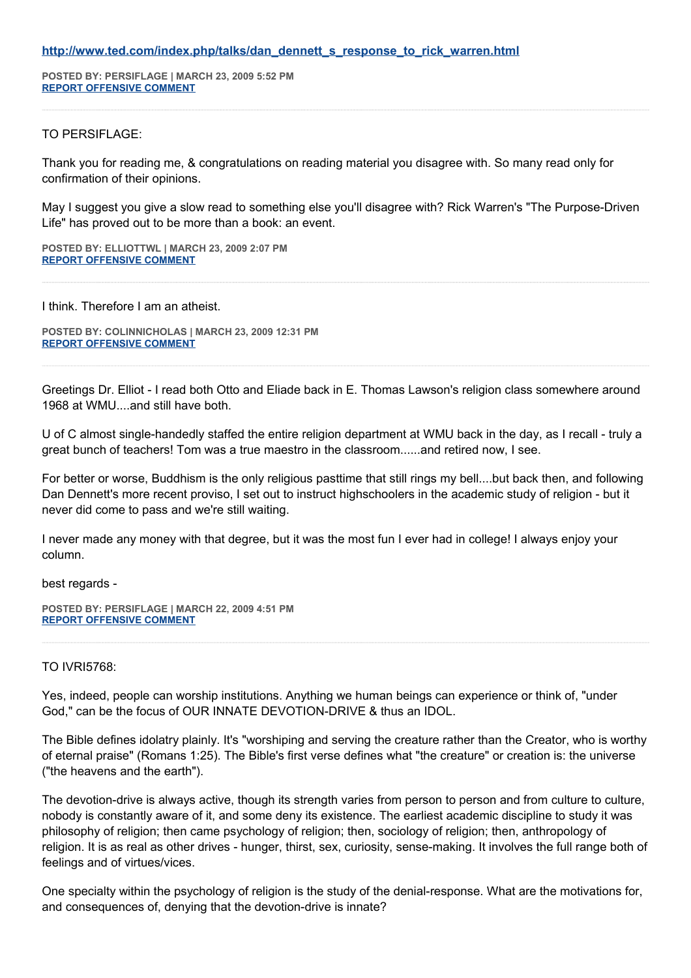#### **[http://www.ted.com/index.php/talks/dan\\_dennett\\_s\\_response\\_to\\_rick\\_warren.html](http://www.ted.com/index.php/talks/dan_dennett_s_response_to_rick_warren.html)**

**POSTED BY: PERSIFLAGE | MARCH 23, 2009 5:52 PM [REPORT OFFENSIVE COMMENT](mailto:blogs@washingtonpost.com?subject=On%20Faith%20Panelists%20Blog%20%20%7C%20%20persiflage%20%20%7C%20%20A%20New)**

#### TO PERSIFLAGE:

Thank you for reading me, & congratulations on reading material you disagree with. So many read only for confirmation of their opinions.

May I suggest you give a slow read to something else you'll disagree with? Rick Warren's "The Purpose-Driven Life" has proved out to be more than a book: an event.

**POSTED BY: ELLIOTTWL | MARCH 23, 2009 2:07 PM [REPORT OFFENSIVE COMMENT](mailto:blogs@washingtonpost.com?subject=On%20Faith%20Panelists%20Blog%20%20%7C%20%20elliottwl%20%20%7C%20%20A%20New)**

I think. Therefore I am an atheist.

**POSTED BY: COLINNICHOLAS | MARCH 23, 2009 12:31 PM [REPORT OFFENSIVE COMMENT](mailto:blogs@washingtonpost.com?subject=On%20Faith%20Panelists%20Blog%20%20%7C%20%20colinnicholas%20%20%7C%20%20A%20New)**

Greetings Dr. Elliot - I read both Otto and Eliade back in E. Thomas Lawson's religion class somewhere around 1968 at WMU....and still have both.

U of C almost single-handedly staffed the entire religion department at WMU back in the day, as I recall - truly a great bunch of teachers! Tom was a true maestro in the classroom......and retired now, I see.

For better or worse, Buddhism is the only religious pasttime that still rings my bell....but back then, and following Dan Dennett's more recent proviso, I set out to instruct highschoolers in the academic study of religion - but it never did come to pass and we're still waiting.

I never made any money with that degree, but it was the most fun I ever had in college! I always enjoy your column.

best regards -

**POSTED BY: PERSIFLAGE | MARCH 22, 2009 4:51 PM [REPORT OFFENSIVE COMMENT](mailto:blogs@washingtonpost.com?subject=On%20Faith%20Panelists%20Blog%20%20%7C%20%20persiflage%20%20%7C%20%20A%20New)**

#### TO IVRI5768:

Yes, indeed, people can worship institutions. Anything we human beings can experience or think of, "under God," can be the focus of OUR INNATE DEVOTION-DRIVE & thus an IDOL.

The Bible defines idolatry plainly. It's "worshiping and serving the creature rather than the Creator, who is worthy of eternal praise" (Romans 1:25). The Bible's first verse defines what "the creature" or creation is: the universe ("the heavens and the earth").

The devotion-drive is always active, though its strength varies from person to person and from culture to culture, nobody is constantly aware of it, and some deny its existence. The earliest academic discipline to study it was philosophy of religion; then came psychology of religion; then, sociology of religion; then, anthropology of religion. It is as real as other drives - hunger, thirst, sex, curiosity, sense-making. It involves the full range both of feelings and of virtues/vices.

One specialty within the psychology of religion is the study of the denial-response. What are the motivations for, and consequences of, denying that the devotion-drive is innate?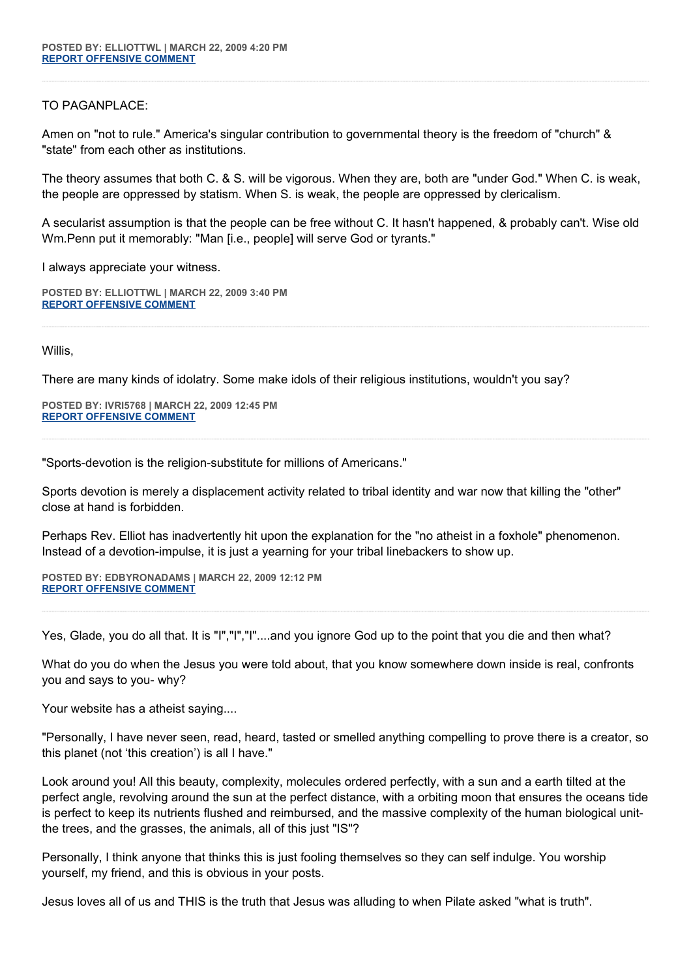## TO PAGANPLACE:

Amen on "not to rule." America's singular contribution to governmental theory is the freedom of "church" & "state" from each other as institutions.

The theory assumes that both C. & S. will be vigorous. When they are, both are "under God." When C. is weak, the people are oppressed by statism. When S. is weak, the people are oppressed by clericalism.

A secularist assumption is that the people can be free without C. It hasn't happened, & probably can't. Wise old Wm.Penn put it memorably: "Man [i.e., people] will serve God or tyrants."

I always appreciate your witness.

**POSTED BY: ELLIOTTWL | MARCH 22, 2009 3:40 PM [REPORT OFFENSIVE COMMENT](mailto:blogs@washingtonpost.com?subject=On%20Faith%20Panelists%20Blog%20%20%7C%20%20elliottwl%20%20%7C%20%20A%20New)**

Willis,

There are many kinds of idolatry. Some make idols of their religious institutions, wouldn't you say?

**POSTED BY: IVRI5768 | MARCH 22, 2009 12:45 PM [REPORT OFFENSIVE COMMENT](mailto:blogs@washingtonpost.com?subject=On%20Faith%20Panelists%20Blog%20%20%7C%20%20ivri5768%20%20%7C%20%20A%20New)**

"Sports-devotion is the religion-substitute for millions of Americans."

Sports devotion is merely a displacement activity related to tribal identity and war now that killing the "other" close at hand is forbidden.

Perhaps Rev. Elliot has inadvertently hit upon the explanation for the "no atheist in a foxhole" phenomenon. Instead of a devotion-impulse, it is just a yearning for your tribal linebackers to show up.

**POSTED BY: EDBYRONADAMS | MARCH 22, 2009 12:12 PM [REPORT OFFENSIVE COMMENT](mailto:blogs@washingtonpost.com?subject=On%20Faith%20Panelists%20Blog%20%20%7C%20%20edbyronadams%20%20%7C%20%20A%20New)**

Yes, Glade, you do all that. It is "I","I","I"....and you ignore God up to the point that you die and then what?

What do you do when the Jesus you were told about, that you know somewhere down inside is real, confronts you and says to you- why?

Your website has a atheist saying....

"Personally, I have never seen, read, heard, tasted or smelled anything compelling to prove there is a creator, so this planet (not 'this creation') is all I have."

Look around you! All this beauty, complexity, molecules ordered perfectly, with a sun and a earth tilted at the perfect angle, revolving around the sun at the perfect distance, with a orbiting moon that ensures the oceans tide is perfect to keep its nutrients flushed and reimbursed, and the massive complexity of the human biological unitthe trees, and the grasses, the animals, all of this just "IS"?

Personally, I think anyone that thinks this is just fooling themselves so they can self indulge. You worship yourself, my friend, and this is obvious in your posts.

Jesus loves all of us and THIS is the truth that Jesus was alluding to when Pilate asked "what is truth".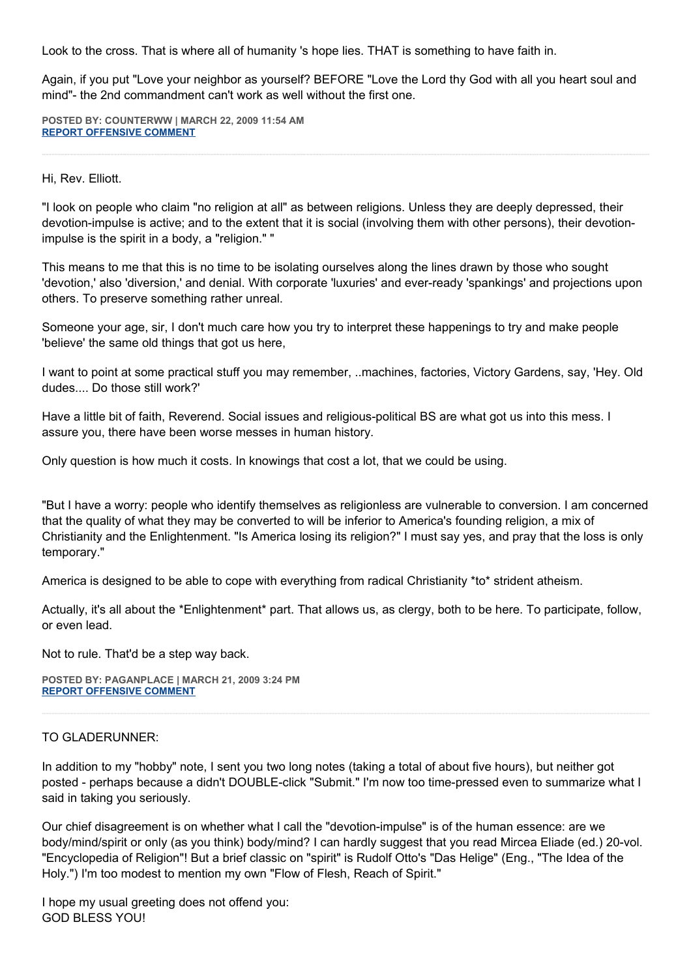Look to the cross. That is where all of humanity 's hope lies. THAT is something to have faith in.

Again, if you put "Love your neighbor as yourself? BEFORE "Love the Lord thy God with all you heart soul and mind"- the 2nd commandment can't work as well without the first one.

**POSTED BY: COUNTERWW | MARCH 22, 2009 11:54 AM [REPORT OFFENSIVE COMMENT](mailto:blogs@washingtonpost.com?subject=On%20Faith%20Panelists%20Blog%20%20%7C%20%20Counterww%20%20%7C%20%20A%20New)**

#### Hi, Rev. Elliott.

"I look on people who claim "no religion at all" as between religions. Unless they are deeply depressed, their devotion-impulse is active; and to the extent that it is social (involving them with other persons), their devotionimpulse is the spirit in a body, a "religion." "

This means to me that this is no time to be isolating ourselves along the lines drawn by those who sought 'devotion,' also 'diversion,' and denial. With corporate 'luxuries' and ever-ready 'spankings' and projections upon others. To preserve something rather unreal.

Someone your age, sir, I don't much care how you try to interpret these happenings to try and make people 'believe' the same old things that got us here,

I want to point at some practical stuff you may remember, ..machines, factories, Victory Gardens, say, 'Hey. Old dudes.... Do those still work?'

Have a little bit of faith, Reverend. Social issues and religious-political BS are what got us into this mess. I assure you, there have been worse messes in human history.

Only question is how much it costs. In knowings that cost a lot, that we could be using.

"But I have a worry: people who identify themselves as religionless are vulnerable to conversion. I am concerned that the quality of what they may be converted to will be inferior to America's founding religion, a mix of Christianity and the Enlightenment. "Is America losing its religion?" I must say yes, and pray that the loss is only temporary."

America is designed to be able to cope with everything from radical Christianity \*to\* strident atheism.

Actually, it's all about the \*Enlightenment\* part. That allows us, as clergy, both to be here. To participate, follow, or even lead.

Not to rule. That'd be a step way back.

**POSTED BY: PAGANPLACE | MARCH 21, 2009 3:24 PM [REPORT OFFENSIVE COMMENT](mailto:blogs@washingtonpost.com?subject=On%20Faith%20Panelists%20Blog%20%20%7C%20%20Paganplace%20%20%7C%20%20A%20New)**

## TO GLADERUNNER:

In addition to my "hobby" note, I sent you two long notes (taking a total of about five hours), but neither got posted - perhaps because a didn't DOUBLE-click "Submit." I'm now too time-pressed even to summarize what I said in taking you seriously.

Our chief disagreement is on whether what I call the "devotion-impulse" is of the human essence: are we body/mind/spirit or only (as you think) body/mind? I can hardly suggest that you read Mircea Eliade (ed.) 20-vol. "Encyclopedia of Religion"! But a brief classic on "spirit" is Rudolf Otto's "Das Helige" (Eng., "The Idea of the Holy.") I'm too modest to mention my own "Flow of Flesh, Reach of Spirit."

I hope my usual greeting does not offend you: GOD BLESS YOU!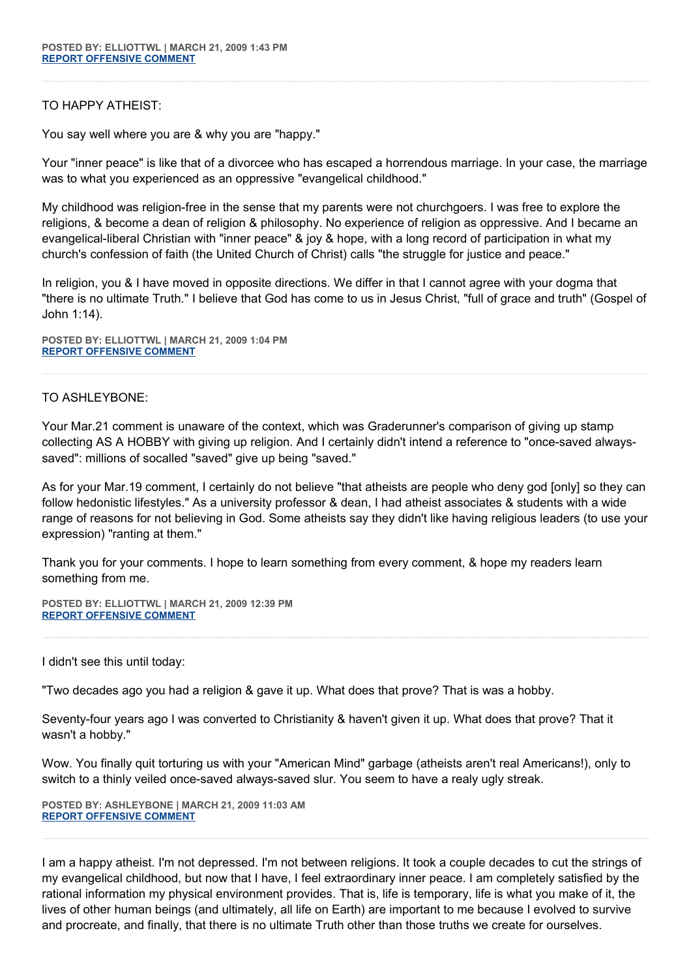## TO HAPPY ATHEIST:

You say well where you are & why you are "happy."

Your "inner peace" is like that of a divorcee who has escaped a horrendous marriage. In your case, the marriage was to what you experienced as an oppressive "evangelical childhood."

My childhood was religion-free in the sense that my parents were not churchgoers. I was free to explore the religions, & become a dean of religion & philosophy. No experience of religion as oppressive. And I became an evangelical-liberal Christian with "inner peace" & joy & hope, with a long record of participation in what my church's confession of faith (the United Church of Christ) calls "the struggle for justice and peace."

In religion, you & I have moved in opposite directions. We differ in that I cannot agree with your dogma that "there is no ultimate Truth." I believe that God has come to us in Jesus Christ, "full of grace and truth" (Gospel of John 1:14).

**POSTED BY: ELLIOTTWL | MARCH 21, 2009 1:04 PM [REPORT OFFENSIVE COMMENT](mailto:blogs@washingtonpost.com?subject=On%20Faith%20Panelists%20Blog%20%20%7C%20%20elliottwl%20%20%7C%20%20A%20New)**

## TO ASHLEYBONE:

Your Mar.21 comment is unaware of the context, which was Graderunner's comparison of giving up stamp collecting AS A HOBBY with giving up religion. And I certainly didn't intend a reference to "once-saved alwayssaved": millions of socalled "saved" give up being "saved."

As for your Mar.19 comment, I certainly do not believe "that atheists are people who deny god [only] so they can follow hedonistic lifestyles." As a university professor & dean, I had atheist associates & students with a wide range of reasons for not believing in God. Some atheists say they didn't like having religious leaders (to use your expression) "ranting at them."

Thank you for your comments. I hope to learn something from every comment, & hope my readers learn something from me.

**POSTED BY: ELLIOTTWL | MARCH 21, 2009 12:39 PM [REPORT OFFENSIVE COMMENT](mailto:blogs@washingtonpost.com?subject=On%20Faith%20Panelists%20Blog%20%20%7C%20%20elliottwl%20%20%7C%20%20A%20New)**

I didn't see this until today:

"Two decades ago you had a religion & gave it up. What does that prove? That is was a hobby.

Seventy-four years ago I was converted to Christianity & haven't given it up. What does that prove? That it wasn't a hobby."

Wow. You finally quit torturing us with your "American Mind" garbage (atheists aren't real Americans!), only to switch to a thinly veiled once-saved always-saved slur. You seem to have a realy ugly streak.

**POSTED BY: ASHLEYBONE | MARCH 21, 2009 11:03 AM [REPORT OFFENSIVE COMMENT](mailto:blogs@washingtonpost.com?subject=On%20Faith%20Panelists%20Blog%20%20%7C%20%20ashleybone%20%20%7C%20%20A%20New)**

I am a happy atheist. I'm not depressed. I'm not between religions. It took a couple decades to cut the strings of my evangelical childhood, but now that I have, I feel extraordinary inner peace. I am completely satisfied by the rational information my physical environment provides. That is, life is temporary, life is what you make of it, the lives of other human beings (and ultimately, all life on Earth) are important to me because I evolved to survive and procreate, and finally, that there is no ultimate Truth other than those truths we create for ourselves.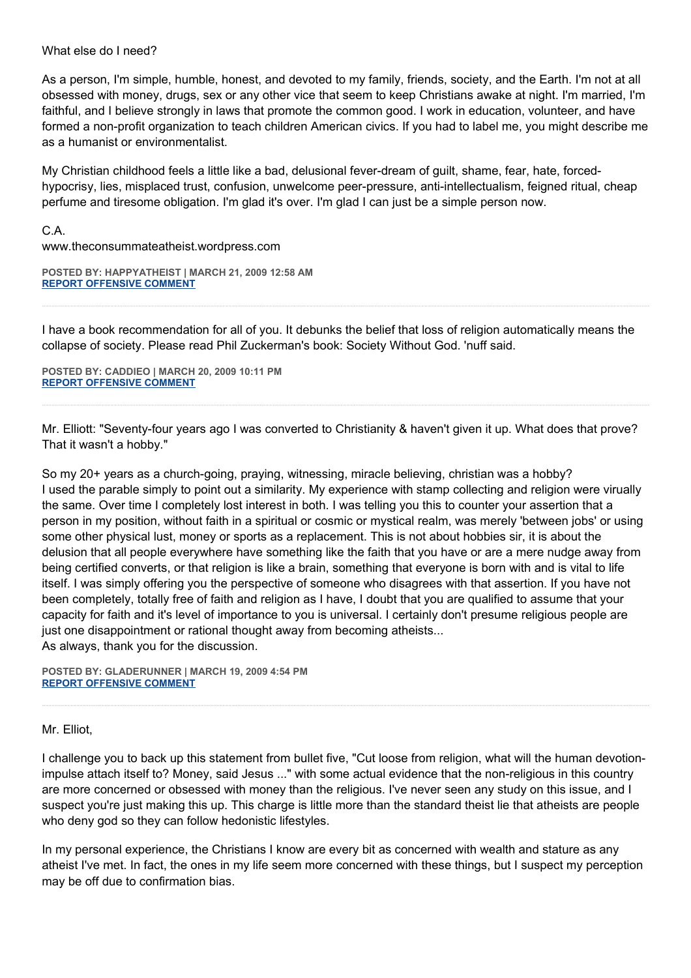#### What else do I need?

As a person, I'm simple, humble, honest, and devoted to my family, friends, society, and the Earth. I'm not at all obsessed with money, drugs, sex or any other vice that seem to keep Christians awake at night. I'm married, I'm faithful, and I believe strongly in laws that promote the common good. I work in education, volunteer, and have formed a non-profit organization to teach children American civics. If you had to label me, you might describe me as a humanist or environmentalist.

My Christian childhood feels a little like a bad, delusional fever-dream of guilt, shame, fear, hate, forcedhypocrisy, lies, misplaced trust, confusion, unwelcome peer-pressure, anti-intellectualism, feigned ritual, cheap perfume and tiresome obligation. I'm glad it's over. I'm glad I can just be a simple person now.

C.A.

www.theconsummateatheist.wordpress.com

**POSTED BY: HAPPYATHEIST | MARCH 21, 2009 12:58 AM [REPORT OFFENSIVE COMMENT](mailto:blogs@washingtonpost.com?subject=On%20Faith%20Panelists%20Blog%20%20%7C%20%20HappyAtheist%20%20%7C%20%20A%20New)**

I have a book recommendation for all of you. It debunks the belief that loss of religion automatically means the collapse of society. Please read Phil Zuckerman's book: Society Without God. 'nuff said.

**POSTED BY: CADDIEO | MARCH 20, 2009 10:11 PM [REPORT OFFENSIVE COMMENT](mailto:blogs@washingtonpost.com?subject=On%20Faith%20Panelists%20Blog%20%20%7C%20%20caddieo%20%20%7C%20%20A%20New)**

Mr. Elliott: "Seventy-four years ago I was converted to Christianity & haven't given it up. What does that prove? That it wasn't a hobby."

So my 20+ years as a church-going, praying, witnessing, miracle believing, christian was a hobby? I used the parable simply to point out a similarity. My experience with stamp collecting and religion were virually the same. Over time I completely lost interest in both. I was telling you this to counter your assertion that a person in my position, without faith in a spiritual or cosmic or mystical realm, was merely 'between jobs' or using some other physical lust, money or sports as a replacement. This is not about hobbies sir, it is about the delusion that all people everywhere have something like the faith that you have or are a mere nudge away from being certified converts, or that religion is like a brain, something that everyone is born with and is vital to life itself. I was simply offering you the perspective of someone who disagrees with that assertion. If you have not been completely, totally free of faith and religion as I have, I doubt that you are qualified to assume that your capacity for faith and it's level of importance to you is universal. I certainly don't presume religious people are just one disappointment or rational thought away from becoming atheists... As always, thank you for the discussion.

**POSTED BY: GLADERUNNER | MARCH 19, 2009 4:54 PM [REPORT OFFENSIVE COMMENT](mailto:blogs@washingtonpost.com?subject=On%20Faith%20Panelists%20Blog%20%20%7C%20%20gladerunner%20%20%7C%20%20A%20New)**

#### Mr. Elliot,

I challenge you to back up this statement from bullet five, "Cut loose from religion, what will the human devotionimpulse attach itself to? Money, said Jesus ..." with some actual evidence that the non-religious in this country are more concerned or obsessed with money than the religious. I've never seen any study on this issue, and I suspect you're just making this up. This charge is little more than the standard theist lie that atheists are people who deny god so they can follow hedonistic lifestyles.

In my personal experience, the Christians I know are every bit as concerned with wealth and stature as any atheist I've met. In fact, the ones in my life seem more concerned with these things, but I suspect my perception may be off due to confirmation bias.